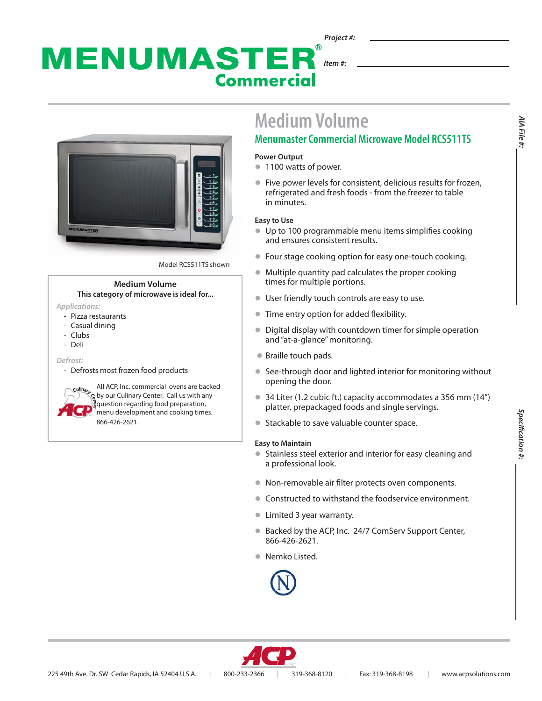### MENUMASTER *Item #:* **Commercial**



Model RCS511TS shown

### **Medium Volume This category of microwave is ideal for...**

- *Applications:* 
	- Pizza restaurants
	- Casual dining
	- Clubs
	- Deli

*Defrost:*

- Defrosts most frozen food products

All ACP, Inc. commercial ovens are backed by our Culinary Center. Call us with any question regarding food preparation, menu development and cooking times. 866-426-2621.

# **Medium Volume**

### **Menumaster Commercial Microwave Model RCS511TS**

#### **Power Output**

- **1100 watts of power.**
- $\bullet$  Five power levels for consistent, delicious results for frozen, refrigerated and fresh foods - from the freezer to table in minutes.

### **Easy to Use**

- $\bullet$  Up to 100 programmable menu items simplifies cooking and ensures consistent results.
- Four stage cooking option for easy one-touch cooking.
- $\bullet$  Multiple quantity pad calculates the proper cooking times for multiple portions.
- **I** User friendly touch controls are easy to use.
- **Time entry option for added flexibility.**
- Digital display with countdown timer for simple operation and "at-a-glance" monitoring.
- Braille touch pads.
- See-through door and lighted interior for monitoring without opening the door.
- $\bullet$  34 Liter (1.2 cubic ft.) capacity accommodates a 356 mm (14") platter, prepackaged foods and single servings.
- Stackable to save valuable counter space.

### **Easy to Maintain**

- **•** Stainless steel exterior and interior for easy cleaning and a professional look.
- $\bullet$  Non-removable air filter protects oven components.
- **Constructed to withstand the foodservice environment.**
- **I** Limited 3 year warranty.
- Backed by the ACP, Inc. 24/7 ComServ Support Center, 866-426-2621.
- Nemko Listed.





*AIA File #:*

AIA File #: